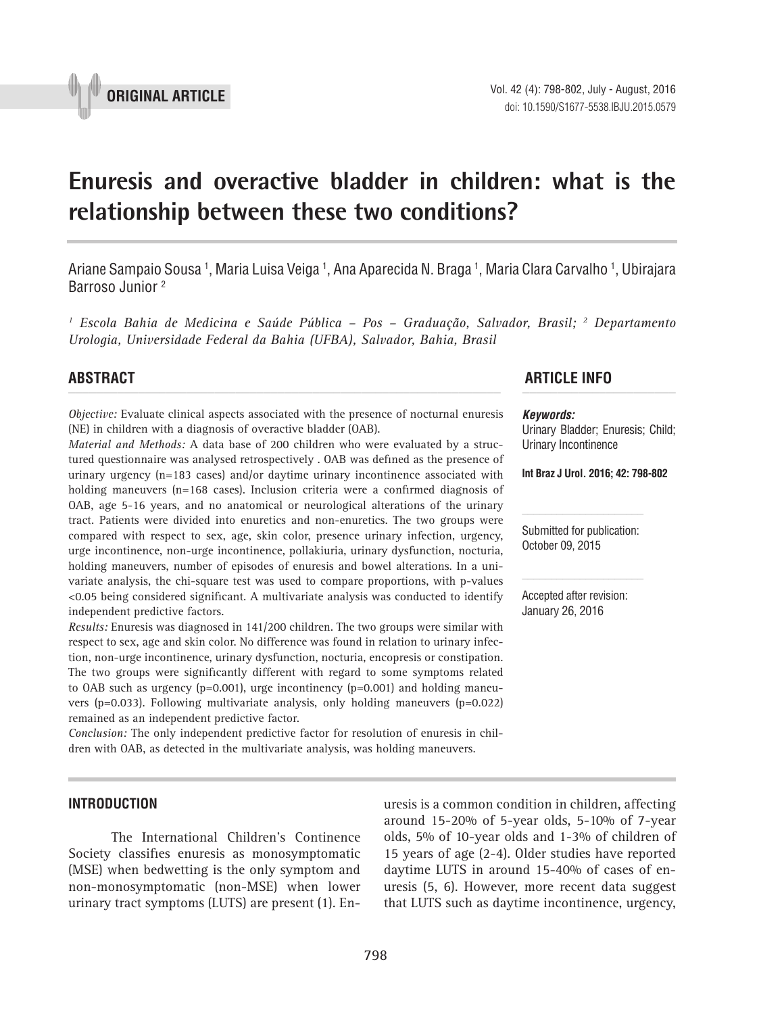

# **Enuresis and overactive bladder in children: what is the relationship between these two conditions? \_\_\_\_\_\_\_\_\_\_\_\_\_\_\_\_\_\_\_\_\_\_\_\_\_\_\_\_\_\_\_\_\_\_\_\_\_\_\_\_\_\_\_\_\_\_\_**

Ariane Sampaio Sousa <sup>1</sup>, Maria Luisa Veiga <sup>1</sup>, Ana Aparecida N. Braga <sup>1</sup>, Maria Clara Carvalho <sup>1</sup>, Ubirajara Barroso Junior 2

*1 Escola Bahia de Medicina e Saúde Pública – Pos – Graduação, Salvador, Brasil; 2 Departamento Urologia, Universidade Federal da Bahia (UFBA), Salvador, Bahia, Brasil*

*Objective:* Evaluate clinical aspects associated with the presence of nocturnal enuresis (NE) in children with a diagnosis of overactive bladder (OAB).

*Material and Methods:* A data base of 200 children who were evaluated by a structured questionnaire was analysed retrospectively . OAB was defined as the presence of urinary urgency (n=183 cases) and/or daytime urinary incontinence associated with holding maneuvers (n=168 cases). Inclusion criteria were a confirmed diagnosis of OAB, age 5-16 years, and no anatomical or neurological alterations of the urinary tract. Patients were divided into enuretics and non-enuretics. The two groups were compared with respect to sex, age, skin color, presence urinary infection, urgency, urge incontinence, non-urge incontinence, pollakiuria, urinary dysfunction, nocturia, holding maneuvers, number of episodes of enuresis and bowel alterations. In a univariate analysis, the chi-square test was used to compare proportions, with p-values <0.05 being considered significant. A multivariate analysis was conducted to identify independent predictive factors.

*Results:* Enuresis was diagnosed in 141/200 children. The two groups were similar with respect to sex, age and skin color. No difference was found in relation to urinary infection, non-urge incontinence, urinary dysfunction, nocturia, encopresis or constipation. The two groups were significantly different with regard to some symptoms related to OAB such as urgency (p=0.001), urge incontinency (p=0.001) and holding maneuvers ( $p=0.033$ ). Following multivariate analysis, only holding maneuvers ( $p=0.022$ ) remained as an independent predictive factor.

*Conclusion:* The only independent predictive factor for resolution of enuresis in children with OAB, as detected in the multivariate analysis, was holding maneuvers.

# **INTRODUCTION**

The International Children's Continence Society classifies enuresis as monosymptomatic (MSE) when bedwetting is the only symptom and non-monosymptomatic (non-MSE) when lower urinary tract symptoms (LUTS) are present (1). Enuresis is a common condition in children, affecting around 15-20% of 5-year olds, 5-10% of 7-year olds, 5% of 10-year olds and 1-3% of children of 15 years of age (2-4). Older studies have reported daytime LUTS in around 15-40% of cases of enuresis (5, 6). However, more recent data suggest that LUTS such as daytime incontinence, urgency,

# **ABSTRACT ARTICLE INFO** *\_\_\_\_\_\_\_\_\_\_\_\_\_\_\_\_\_\_\_\_\_\_\_\_\_\_\_\_\_\_\_\_\_\_\_\_\_\_\_\_\_\_\_\_\_\_\_\_\_\_\_\_\_\_\_\_\_\_\_\_\_\_ \_\_\_\_\_\_\_\_\_\_\_\_\_\_\_\_\_\_\_\_\_\_*

# *Keywords:*

Urinary Bladder; Enuresis; Child; Urinary Incontinence

**Int Braz J Urol. 2016; 42: 798-802**

Submitted for publication: October 09, 2015

Accepted after revision: January 26, 2016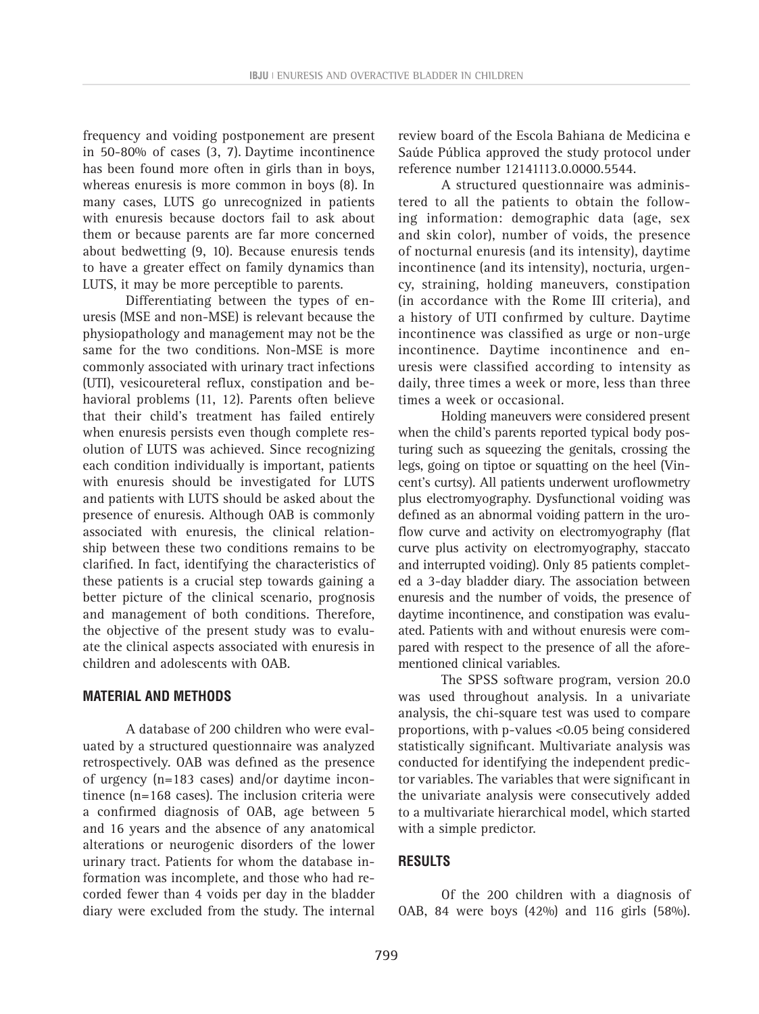frequency and voiding postponement are present in 50-80% of cases (3, 7). Daytime incontinence has been found more often in girls than in boys, whereas enuresis is more common in boys (8). In many cases, LUTS go unrecognized in patients with enuresis because doctors fail to ask about them or because parents are far more concerned about bedwetting (9, 10). Because enuresis tends to have a greater effect on family dynamics than LUTS, it may be more perceptible to parents.

Differentiating between the types of enuresis (MSE and non-MSE) is relevant because the physiopathology and management may not be the same for the two conditions. Non-MSE is more commonly associated with urinary tract infections (UTI), vesicoureteral reflux, constipation and behavioral problems (11, 12). Parents often believe that their child's treatment has failed entirely when enuresis persists even though complete resolution of LUTS was achieved. Since recognizing each condition individually is important, patients with enuresis should be investigated for LUTS and patients with LUTS should be asked about the presence of enuresis. Although OAB is commonly associated with enuresis, the clinical relationship between these two conditions remains to be clarified. In fact, identifying the characteristics of these patients is a crucial step towards gaining a better picture of the clinical scenario, prognosis and management of both conditions. Therefore, the objective of the present study was to evaluate the clinical aspects associated with enuresis in children and adolescents with OAB.

### **MATERIAL AND METHODS**

A database of 200 children who were evaluated by a structured questionnaire was analyzed retrospectively. OAB was defined as the presence of urgency (n=183 cases) and/or daytime incontinence (n=168 cases). The inclusion criteria were a confirmed diagnosis of OAB, age between 5 and 16 years and the absence of any anatomical alterations or neurogenic disorders of the lower urinary tract. Patients for whom the database information was incomplete, and those who had recorded fewer than 4 voids per day in the bladder diary were excluded from the study. The internal review board of the Escola Bahiana de Medicina e Saúde Pública approved the study protocol under reference number 12141113.0.0000.5544.

A structured questionnaire was administered to all the patients to obtain the following information: demographic data (age, sex and skin color), number of voids, the presence of nocturnal enuresis (and its intensity), daytime incontinence (and its intensity), nocturia, urgency, straining, holding maneuvers, constipation (in accordance with the Rome III criteria), and a history of UTI confirmed by culture. Daytime incontinence was classified as urge or non-urge incontinence. Daytime incontinence and enuresis were classified according to intensity as daily, three times a week or more, less than three times a week or occasional.

Holding maneuvers were considered present when the child's parents reported typical body posturing such as squeezing the genitals, crossing the legs, going on tiptoe or squatting on the heel (Vincent's curtsy). All patients underwent uroflowmetry plus electromyography. Dysfunctional voiding was defined as an abnormal voiding pattern in the uroflow curve and activity on electromyography (flat curve plus activity on electromyography, staccato and interrupted voiding). Only 85 patients completed a 3-day bladder diary. The association between enuresis and the number of voids, the presence of daytime incontinence, and constipation was evaluated. Patients with and without enuresis were compared with respect to the presence of all the aforementioned clinical variables.

The SPSS software program, version 20.0 was used throughout analysis. In a univariate analysis, the chi-square test was used to compare proportions, with p-values <0.05 being considered statistically significant. Multivariate analysis was conducted for identifying the independent predictor variables. The variables that were significant in the univariate analysis were consecutively added to a multivariate hierarchical model, which started with a simple predictor.

# **RESULTS**

Of the 200 children with a diagnosis of OAB, 84 were boys (42%) and 116 girls (58%).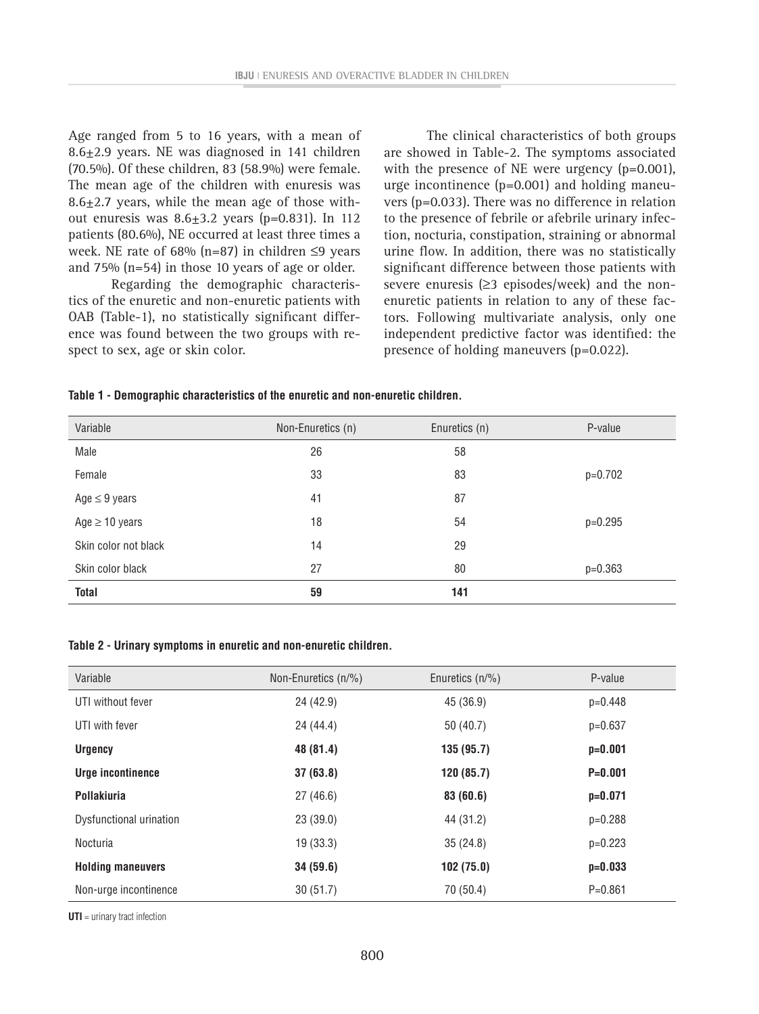Age ranged from 5 to 16 years, with a mean of 8.6±2.9 years. NE was diagnosed in 141 children (70.5%). Of these children, 83 (58.9%) were female. The mean age of the children with enuresis was  $8.6 \pm 2.7$  years, while the mean age of those without enuresis was  $8.6 \pm 3.2$  years (p=0.831). In 112 patients (80.6%), NE occurred at least three times a week. NE rate of 68% (n=87) in children  $\leq$ 9 years and  $75\%$  (n=54) in those 10 years of age or older.

Regarding the demographic characteristics of the enuretic and non-enuretic patients with OAB (Table-1), no statistically significant difference was found between the two groups with respect to sex, age or skin color.

The clinical characteristics of both groups are showed in Table-2. The symptoms associated with the presence of NE were urgency (p=0.001), urge incontinence (p=0.001) and holding maneuvers (p=0.033). There was no difference in relation to the presence of febrile or afebrile urinary infection, nocturia, constipation, straining or abnormal urine flow. In addition, there was no statistically significant difference between those patients with severe enuresis (≥3 episodes/week) and the nonenuretic patients in relation to any of these factors. Following multivariate analysis, only one independent predictive factor was identified: the presence of holding maneuvers (p=0.022).

### **Table 1 - Demographic characteristics of the enuretic and non-enuretic children.**

| Variable             | Non-Enuretics (n) | Enuretics (n) | P-value   |
|----------------------|-------------------|---------------|-----------|
| Male                 | 26                | 58            |           |
| Female               | 33                | 83            | $p=0.702$ |
| Age $\leq$ 9 years   | 41                | 87            |           |
| Age $\geq$ 10 years  | 18                | 54            | $p=0.295$ |
| Skin color not black | 14                | 29            |           |
| Skin color black     | 27                | 80            | $p=0.363$ |
| <b>Total</b>         | 59                | 141           |           |

### **Table 2 - Urinary symptoms in enuretic and non-enuretic children.**

| Variable                 | Non-Enuretics (n/%) | Enuretics $(n/\%)$ | P-value   |
|--------------------------|---------------------|--------------------|-----------|
| UTI without fever        | 24 (42.9)           | 45 (36.9)          | $p=0.448$ |
| UTI with fever           | 24 (44.4)           | 50(40.7)           | $p=0.637$ |
| <b>Urgency</b>           | 48 (81.4)           | 135 (95.7)         | $p=0.001$ |
| Urge incontinence        | 37(63.8)            | 120(85.7)          | $P=0.001$ |
| Pollakiuria              | 27(46.6)            | 83 (60.6)          | $p=0.071$ |
| Dysfunctional urination  | 23(39.0)            | 44 (31.2)          | $p=0.288$ |
| Nocturia                 | 19(33.3)            | 35(24.8)           | $p=0.223$ |
| <b>Holding maneuvers</b> | 34(59.6)            | 102(75.0)          | $p=0.033$ |
| Non-urge incontinence    | 30(51.7)            | 70 (50.4)          | $P=0.861$ |

**UTI** = urinary tract infection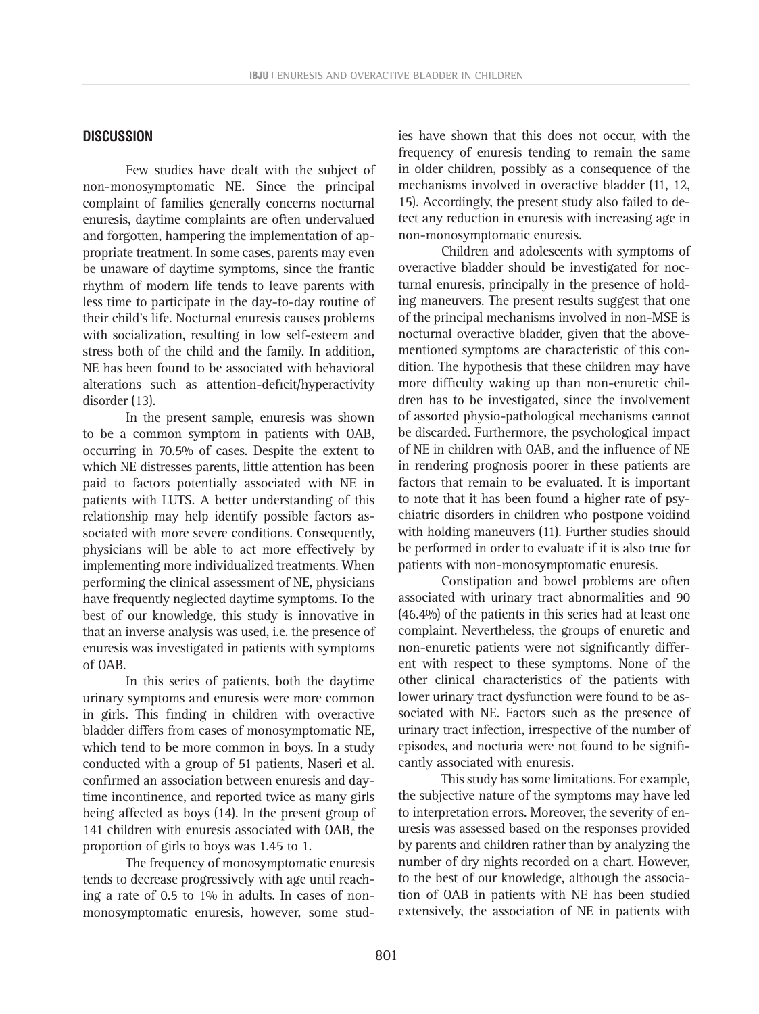# **DISCUSSION**

Few studies have dealt with the subject of non-monosymptomatic NE. Since the principal complaint of families generally concerns nocturnal enuresis, daytime complaints are often undervalued and forgotten, hampering the implementation of appropriate treatment. In some cases, parents may even be unaware of daytime symptoms, since the frantic rhythm of modern life tends to leave parents with less time to participate in the day-to-day routine of their child's life. Nocturnal enuresis causes problems with socialization, resulting in low self-esteem and stress both of the child and the family. In addition, NE has been found to be associated with behavioral alterations such as attention-deficit/hyperactivity disorder (13).

In the present sample, enuresis was shown to be a common symptom in patients with OAB, occurring in 70.5% of cases. Despite the extent to which NE distresses parents, little attention has been paid to factors potentially associated with NE in patients with LUTS. A better understanding of this relationship may help identify possible factors associated with more severe conditions. Consequently, physicians will be able to act more effectively by implementing more individualized treatments. When performing the clinical assessment of NE, physicians have frequently neglected daytime symptoms. To the best of our knowledge, this study is innovative in that an inverse analysis was used, i.e. the presence of enuresis was investigated in patients with symptoms of OAB.

In this series of patients, both the daytime urinary symptoms and enuresis were more common in girls. This finding in children with overactive bladder differs from cases of monosymptomatic NE, which tend to be more common in boys. In a study conducted with a group of 51 patients, Naseri et al. confirmed an association between enuresis and daytime incontinence, and reported twice as many girls being affected as boys (14). In the present group of 141 children with enuresis associated with OAB, the proportion of girls to boys was 1.45 to 1.

The frequency of monosymptomatic enuresis tends to decrease progressively with age until reaching a rate of 0.5 to 1% in adults. In cases of nonmonosymptomatic enuresis, however, some studies have shown that this does not occur, with the frequency of enuresis tending to remain the same in older children, possibly as a consequence of the mechanisms involved in overactive bladder (11, 12, 15). Accordingly, the present study also failed to detect any reduction in enuresis with increasing age in non-monosymptomatic enuresis.

Children and adolescents with symptoms of overactive bladder should be investigated for nocturnal enuresis, principally in the presence of holding maneuvers. The present results suggest that one of the principal mechanisms involved in non-MSE is nocturnal overactive bladder, given that the abovementioned symptoms are characteristic of this condition. The hypothesis that these children may have more difficulty waking up than non-enuretic children has to be investigated, since the involvement of assorted physio-pathological mechanisms cannot be discarded. Furthermore, the psychological impact of NE in children with OAB, and the influence of NE in rendering prognosis poorer in these patients are factors that remain to be evaluated. It is important to note that it has been found a higher rate of psychiatric disorders in children who postpone voidind with holding maneuvers (11). Further studies should be performed in order to evaluate if it is also true for patients with non-monosymptomatic enuresis.

Constipation and bowel problems are often associated with urinary tract abnormalities and 90 (46.4%) of the patients in this series had at least one complaint. Nevertheless, the groups of enuretic and non-enuretic patients were not significantly different with respect to these symptoms. None of the other clinical characteristics of the patients with lower urinary tract dysfunction were found to be associated with NE. Factors such as the presence of urinary tract infection, irrespective of the number of episodes, and nocturia were not found to be significantly associated with enuresis.

This study has some limitations. For example, the subjective nature of the symptoms may have led to interpretation errors. Moreover, the severity of enuresis was assessed based on the responses provided by parents and children rather than by analyzing the number of dry nights recorded on a chart. However, to the best of our knowledge, although the association of OAB in patients with NE has been studied extensively, the association of NE in patients with